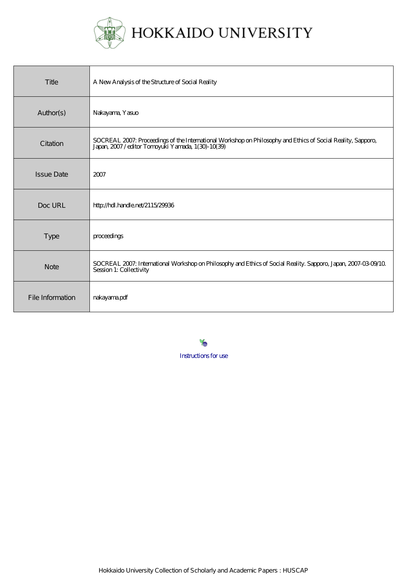

| Title             | A New Analysis of the Structure of Social Reality                                                                                                             |
|-------------------|---------------------------------------------------------------------------------------------------------------------------------------------------------------|
| Author(s)         | Nakayama, Yasuo                                                                                                                                               |
| Citation          | SOCREAL 2007: Proceedings of the International Workshop on Philosophy and Ethics of Social Reality, Sapporo, Japan, 2007/editor Tomoyuki Yamada, 1(30)-10(39) |
| <b>Issue Date</b> | 2007                                                                                                                                                          |
| Doc URL           | http://hdl.handle.net/2115/29936                                                                                                                              |
| <b>Type</b>       | proceedings                                                                                                                                                   |
| <b>Note</b>       | SOCREAL 2007: International Workshop on Philosophy and Ethics of Social Reality. Sapporo, Japan, 2007-03-09/10<br>Session 1: Collectivity                     |
| File Information  | nakayamapdf                                                                                                                                                   |

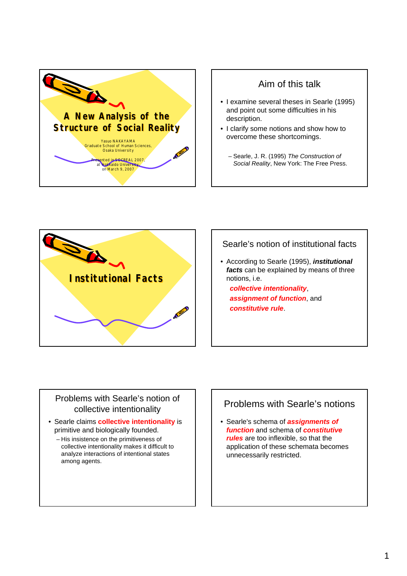

# Aim of this talk

- I examine several theses in Searle (1995) and point out some difficulties in his description.
- I clarify some notions and show how to overcome these shortcomings.
	- Searle, J. R. (1995) *The Construction of Social Reality*, New York: The Free Press.



#### Searle's notion of institutional facts

• According to Searle (1995), *institutional facts* can be explained by means of three notions, i.e.

*collective intentionality*, *assignment of function*, and *constitutive rule*.

#### Problems with Searle's notion of collective intentionality

- Searle claims **collective intentionality** is primitive and biologically founded.
	- His insistence on the primitiveness of collective intentionality makes it difficult to analyze interactions of intentional states among agents.

# Problems with Searle's notions

• Searle's schema of *assignments of function* and schema of *constitutive rules* are too inflexible, so that the application of these schemata becomes unnecessarily restricted.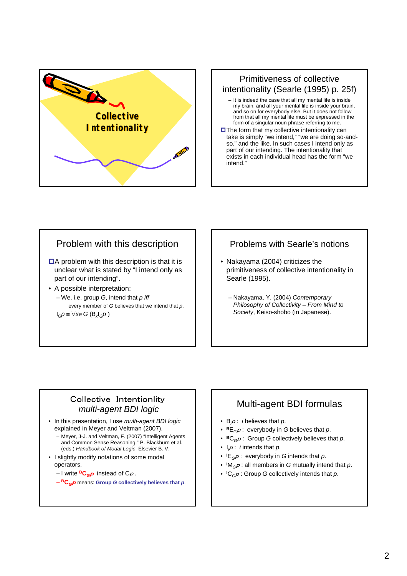

## Primitiveness of collective intentionality (Searle (1995) p. 25f)

- It is indeed the case that all my mental life is inside my brain, and all your mental life is inside your brain, and so on for everybody else. But it does not follow from that all my mental life must be expressed in the form of a singular noun phrase referring to me.
- **OThe form that my collective intentionality can** take is simply "we intend," "we are doing so-andso," and the like. In such cases I intend only as part of our intending. The intentionality that exists in each individual head has the form "we intend."

# Problem with this description

- $\Box$ A problem with this description is that it is unclear what is stated by "I intend only as part of our intending".
- A possible interpretation:
	- We, i.e. group *G*, intend that *p iff* every member of *G* believes that we intend that *p*.  $I_G p \equiv \forall x \in G$  (B<sub>x</sub>I<sub>G</sub>p)

### Problems with Searle's notions

- Nakayama (2004) criticizes the primitiveness of collective intentionality in Searle (1995).
	- Nakayama, Y. (2004) *Contemporary Philosophy of Collectivity – From Mind to Society*, Keiso-shobo (in Japanese).

#### Collective Intentionlity *multi-agent BDI logic*

- In this presentation, I use *multi-agent BDI logic* explained in Meyer and Veltman (2007).
	- Meyer, J-J. and Veltman, F. (2007) "Intelligent Agents and Common Sense Reasoning," P. Blackburn et al. (eds.) *Handbook of Modal Logic*, Elsevier B. V.
- I slightly modify notations of some modal operators.
	- I write **BC***G*<sup>p</sup> instead of C<sup>p</sup> *.*
	- **BC***G*<sup>p</sup> means: **Group** *G* **collectively believes that** *p*.

# Multi-agent BDI formulas

- B*<sup>i</sup>* <sup>p</sup> : *i* believes that *p*.
- **<sup>B</sup>**E*G*<sup>p</sup> : everybody in *G* believes that *p*.
- **<sup>B</sup>**C*G*<sup>p</sup> : Group *G* collectively believes that *p*.
- I*<sup>i</sup>* <sup>p</sup> : *i* intends that *p*.
- **<sup>I</sup>** E*G*<sup>p</sup> : everybody in *G* intends that *p*.
- **<sup>I</sup>** M*G*<sup>p</sup> : all members in *G* mutually intend that *p*.
- **<sup>I</sup>** C*G*<sup>p</sup> : Group *G* collectively intends that *p*.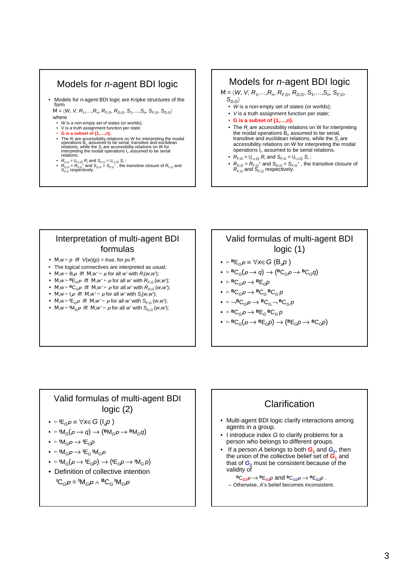# Models for *n*-agent BDI logic

• Models for *n*-agent BDI logic are Kripke structures of the form

 $M = \langle W, V, R_1, \ldots, R_n, R_{E,G}, R_{D,G}, S_1, \ldots, S_n, S_{E,G}, S_{D,G} \rangle$ where W is a non-empty set of states (or worlds);

- *V* is a truth assignment function per state;
- 
- **G** is a subset of  $\{1,...,n\}$ .<br>
 The  $R_i$  are accessibility relations on W for interpreting the modal<br>
operations B<sub>n</sub> assumed to be serial, transitive and euclidean<br>
relations, while the S<sub>i</sub> are accessibility relatio
- 
- $R_{F,G} = U_{i \in G} R_i$  and  $S_{F,G} = U_{i \in G} S_i$ ;<br>•  $R_{D,G} = R_{F,G}$ <sup>+</sup> and  $S_{D,G} = S_{F,G}$ <sup>+</sup>, the transitive closure of  $R_{F,G}$  and  $S_{F,G}$  respectively.

# Models for *n*-agent BDI logic

 $M = \langle W, V, R_1, \ldots, R_n, R_{F,G}, R_{D,G}, S_1, \ldots, S_n, S_{F,G},$  $S_{D,G}$ 

- *W* is a non-empty set of states (or worlds);
- *V* is a truth assignment function per state;
- **G is a subset of {1,…,***n***}.**
- The *Ri* are accessibility relations on W for interpreting the modal operations B*<sup>i</sup>* , assumed to be serial, transitive and euclidean relations, while the *Si* are accessibility relations on W for interpreting the modal operations I*<sup>i</sup>* , assumed to be serial relations.
- $R_{F,G} = U_{i \in G} R_i$  and  $S_{F,G} = U_{i \in G} S_i$ ;
- $R_{D,G} = R_{F,G}$ <sup>+</sup> and  $S_{D,G} = S_{F,G}$ <sup>+</sup>, the transitive closure of  $R_{F,G}$  and  $S_{F,G}$  respectively.

#### Interpretation of multi-agent BDI formulas

- *• M*,  $w \vDash p$  iff *V*(*w*)(*p*) = *true*, for *p*∈*P*;
- The logical connectives are interpreted as usual;
- *• M*,*w* ⊨ B<sub>i</sub> $\rho$  iff *M*,*w*' ⊨  $\rho$  for all *w*' with *R*<sub>*i*</sub>(*w*,*w*);
- *M*,  $w \models^{B}E_{G}p$  iff  $M, w' \models p$  for all *w'* with  $R_{F,G}(w, w)$ ;
- $M, w \models BC_G \rho$  if  $M, w' \models \rho$  for all *w'* with  $R_{D,G}(w, w')$ ;
- *M,w* ⊨  $I$ <sub>i</sub> $\rho$  if *M,w* ⊨  $\rho$  for all *w*' with *S<sub>i</sub>*(*w,w*);
- *M*,  $w \in \mathsf{I}\mathsf{E}_{\mathsf{G}}$  *p* if *M*,  $w' \in p$  for all *w'* with *S<sub>F,G</sub>* (*w*,*w*);
- *M*,  $w \in M_{G}$  iff *M*,  $w' \in p$  for all *w'* with  $S_{D,G}(w,w)$ ;

# Valid formulas of multi-agent BDI logic (1)

- ⊨ **<sup>B</sup>**E*G*<sup>p</sup> ≡ ∀*x*∈*G* (B*xp* )
- $\bullet$  ⊨ **B**C<sub>*G</sub>*( $p \rightarrow q$ )  $\rightarrow$  (**B**C<sub>*G</sub>* $p \rightarrow$  **B**C<sub>*G</sub>* $q$ )</sub></sub></sub>
- $\bullet$  **⊨ B**C<sub>G</sub> $p \rightarrow$  **B**<sub>EG</sub> $p$
- ⊨ **<sup>B</sup>**C*G*<sup>p</sup> → **<sup>B</sup>**C*G* **<sup>B</sup>**C*<sup>G</sup> p*
- $\bullet \vDash \neg{}^{\mathsf{B}}\mathsf{C}_{\mathsf{G}}\mathsf{P} \rightarrow {}^{\mathsf{B}}\mathsf{C}_{\mathsf{G}}\neg{}^{\mathsf{B}}\mathsf{C}_{\mathsf{G}}\mathsf{p}$
- $\bullet$  **⊨ B**C<sub>*G</sub>D*  $\rightarrow$  **B**E<sub>*G*</sub>**B**C<sub>*GD*</sub></sub>
- ⊨ **<sup>B</sup>**C*G*(<sup>p</sup> → **<sup>B</sup>**E*Gp*) → (**<sup>B</sup>**E*Gp* → **<sup>B</sup>**C*Gp*)

## Valid formulas of multi-agent BDI logic (2)

- ⊨ **<sup>I</sup>** E*G*<sup>p</sup> ≡ ∀*x*∈*G* (I*xp* )
- ⊨ **<sup>I</sup>** M*G*(<sup>p</sup> → *q*) → (**<sup>B</sup>**M*G*<sup>p</sup> → **<sup>B</sup>**M*Gq*)
- ⊨ **<sup>I</sup>** M*G*<sup>p</sup> → **<sup>I</sup>** E*Gp*
- ⊨ **<sup>I</sup>** M*G*<sup>p</sup> → **<sup>I</sup>** E*G* **<sup>I</sup>** M*G*<sup>p</sup>
- ⊨ **<sup>I</sup>** M*G*(<sup>p</sup> → **<sup>I</sup>** E*Gp*) → (**<sup>I</sup>** E*Gp* → **<sup>I</sup>** M*G p*)
- Definition of collective intention
	- ${}^{\mathsf{I}}\mathsf{C}_{\mathsf{G}}\rho = {}^{\mathsf{I}}\mathsf{M}_{\mathsf{G}}\rho \wedge {}^{\mathsf{B}}\mathsf{C}_{\mathsf{G}} {}^{\mathsf{I}}\mathsf{M}_{\mathsf{G}}\rho$

## **Clarification**

- Multi-agent BDI logic clarify interactions among agents in a group.
- I introduce index *G* to clarify problems for a person who belongs to different groups.
- If a person A belongs to both  $G_1$  and  $G_2$ , then the union of the collective belief set of  $G_1$  and that of  $G_2$  must be consistent because of the validity of

 ${}^{\text{B}}\text{C}_{G1}p \rightarrow {}^{\text{B}}\text{E}_{G1}p$  and  ${}^{\text{B}}\text{C}_{G2}p \rightarrow {}^{\text{B}}\text{E}_{G2}p$ . – Otherwise, *A*'s belief becomes inconsistent.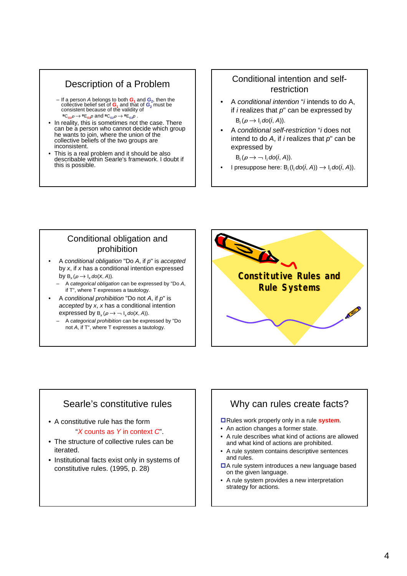# Description of a Problem

- If a person *A* belongs to both  $G_1$  and  $G_2$ , then the collective belief set of  $G_1$  and that of  $G_2$  must be consistent because of the validity of  ${}^{\text{B}}C_{G1}p \rightarrow {}^{\text{B}}E_{G1}p$  and  ${}^{\text{B}}C_{G2}p \rightarrow {}^{\text{B}}E_{G2}p$ .
- In reality, this is sometimes not the case. There can be a person who cannot decide which group he wants to join, where the union of the collective beliefs of the two groups are inconsistent.
- This is a real problem and it should be also describable within Searle's framework. I doubt if this is possible.

### Conditional intention and selfrestriction

- A *conditional intention* "*i* intends to do A, if *i* realizes that *p*" can be expressed by  $B_i(p \rightarrow I_i \cdot \text{do}(i, A)).$
- A *conditional self-restriction* "*i* does not intend to do *A*, if *i* realizes that *p*" can be expressed by

 $B_i(p \rightarrow -1_i \cdot \text{do}(i, A)).$ 

I presuppose here:  $B_i(I_i \cdot \text{do}(i, A)) \rightarrow I_i \cdot \text{do}(i, A)$ .

### Conditional obligation and prohibition

- A *conditional obligation* "Do *A*, if *p*" is *accepted* by *x*, if *x* has a conditional intention expressed by  $B_x(\rho \to I_x \text{do}(X, A)).$ 
	- A *categorical obligation* can be expressed by "Do *A*, if T", where T expresses a tautology.
- A *conditional prohibition* "Do not *A*, if *p*" is *accepted* by *x*, *x* has a conditional intention expressed by  $B_x(p \rightarrow -1_x \text{do}(X, A))$ .
	- A *categorical prohibition* can be expressed by "Do not *A*, if T", where T expresses a tautology.



# Searle's constitutive rules

- A constitutive rule has the form "*X* counts as *Y* in context *C*".
- The structure of collective rules can be iterated.
- Institutional facts exist only in systems of constitutive rules. (1995, p. 28)

# Why can rules create facts?

Rules work properly only in a rule **system**.

- An action changes a former state.
- A rule describes what kind of actions are allowed and what kind of actions are prohibited.
- A rule system contains descriptive sentences and rules.
- ■A rule system introduces a new language based on the given language.
- A rule system provides a new interpretation strategy for actions.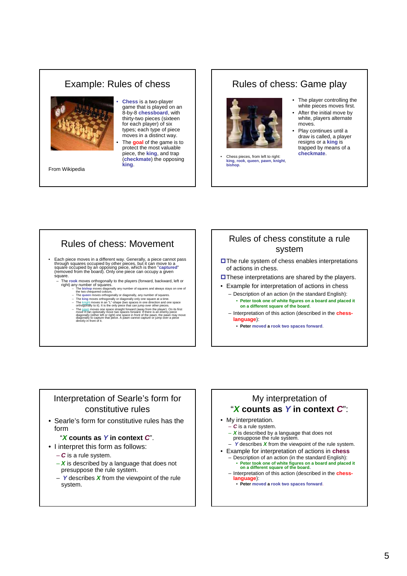# Example: Rules of chess



From Wikipedia

• **Chess** is a two-player game that is played on an 8-by-8 **chessboard**, with thirty-two pieces (sixteen for each player) of six types; each type of piece moves in a distinct way. • The **goal** of the game is to protect the most valuable piece, the **king**, and trap (**checkmate**) the opposing **king**.

#### Rules of chess: Game play



- Chess pieces, from left to right:<br>king, rook, queen, pawn, knight. **king**, **rook**, **queen**, **pawn**, **k bishop**.
- The player controlling the white pieces moves first.
- After the initial move by white, players alternate moves. Play continues until a
- draw is called, a player resigns or a **king** is trapped by means of a **checkmate**.

## Rules of chess: Movement

- Each piece moves in a different way. Generally, a piece cannot pass through squares occupied by other pieces, but it can move to a<br>square occupied by an opposing piece, which is then "captured"<br>(removed from the board). Only one piece can occupy a given
	- square.<br>Square.<br>- The rook moves orthogonally to the players (forward, backward, left or - The rook moves orthogonally to the players (forward, backward, left or<br>right) any number of squares.<br>- The bishop moves diagonally any number of squares and always stays on one of<br>- The bishop moves diagonally or diagon
		-
		-
		-
		- The  $\frac{DayM}{Day}$  moves one space straight forward (away from the player). On its first move it can optionally move two spaces forward. If there is an enemy piece diagonally (either left or right) one space in front of t

#### Rules of chess constitute a rule system

- **OThe rule system of chess enables interpretations** of actions in chess.
- $\square$  These interpretations are shared by the players.
- Example for interpretation of actions in chess
	- Description of an action (in the standard English): • **Peter took one of white figures on a board and placed it on a different square of the board**.
	- Interpretation of this action (described in the **chesslanguage**):
		- **Peter moved a rook two spaces forward**.

#### Interpretation of Searle's form for constitutive rules

• Searle's form for constitutive rules has the form

#### "*X* **counts as** *Y* **in context** *C*".

- I interpret this form as follows:
	- *C* is a rule system.
	- *X* is described by a language that does not presuppose the rule system.
	- *Y* describes *X* from the viewpoint of the rule system.

#### My interpretation of "*X* **counts as** *Y* **in context** *C*":

- My interpretation. – *C* is a rule system.
	- *X* is described by a language that does not presuppose the rule system.
- *Y* describes *X* from the viewpoint of the rule system.
- Example for interpretation of actions in **chess** – Description of an action (in the standard English): • **Peter took one of white figures on a board and placed it on a different square of the board.**
	- Interpretation of this action (described in the **chesslanguage**):
		- **Peter moved a rook two spaces forward**.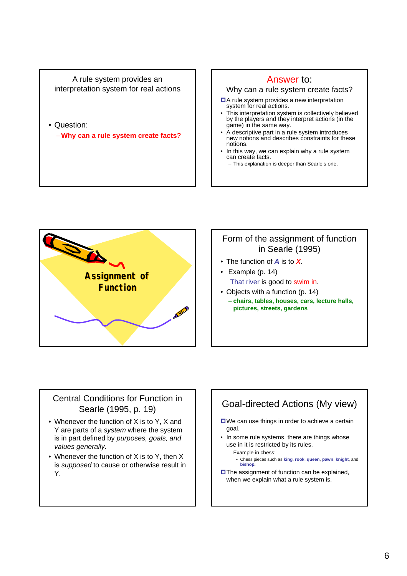A rule system provides an interpretation system for real actions

• Question:

–**Why can a rule system create facts?**

#### Answer to:

#### Why can a rule system create facts?

- $\Box$  A rule system provides a new interpretation system for real actions.
- This interpretation system is collectively believed by the players and they interpret actions (in the game) in the same way.
- A descriptive part in a rule system introduces new notions and describes constraints for these notions.
- In this way, we can explain why a rule system can create facts. – This explanation is deeper than Searle's one.



#### Form of the assignment of function in Searle (1995)

- The function of *A* is to *X*.
- Example (p. 14) That river is good to swim in.
- Objects with a function (p. 14) – **chairs, tables, houses, cars, lecture halls, pictures, streets, gardens**

### Central Conditions for Function in Searle (1995, p. 19)

- Whenever the function of X is to Y, X and Y are parts of a *system* where the system is in part defined by *purposes, goals, and values generally*.
- Whenever the function of X is to Y, then X is *supposed* to cause or otherwise result in Y.

# Goal-directed Actions (My view)

- **□We can use things in order to achieve a certain** goal.
- In some rule systems, there are things whose use in it is restricted by its rules.
	- Example in chess:

• Chess pieces such as **king**, **rook**, **queen**, **pawn**, **knight**, and **bishop.**

**OThe assignment of function can be explained,** when we explain what a rule system is.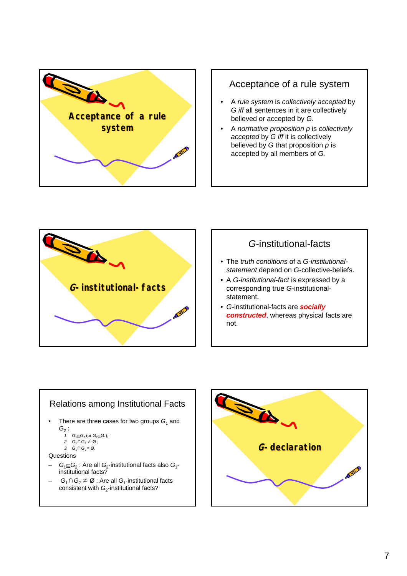

## Acceptance of a rule system

- A *rule system* is *collectively accepted* by *G iff* all sentences in it are collectively believed or accepted by *G*.
- A *normative proposition p* is *collectively accepted* by *G iff* it is collectively believed by *G* that proposition *p* is accepted by all members of *G.*



## *G*-institutional-facts

- The *truth conditions* of a *G-institutionalstatement* depend on *G*-collective-beliefs.
- A *G-institutional-fact* is expressed by a corresponding true *G*-institutionalstatement.
- *G*-institutional-facts are *socially constructed*, whereas physical facts are not.



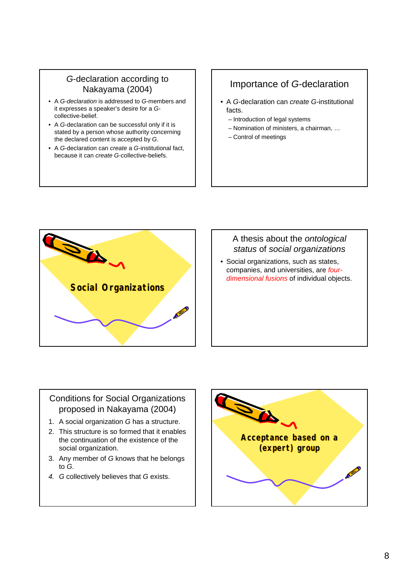## *G*-declaration according to Nakayama (2004)

- A *G-declaration* is addressed to *G*-members and it expresses a speaker's desire for a *G*collective-belief.
- A *G*-declaration can be successful only if it is stated by a person whose authority concerning the declared content is accepted by *G*.
- A *G*-declaration can *create* a *G*-institutional fact, because it can *create G*-collective-beliefs.

# Importance of *G*-declaration

- A *G*-declaration can *create G*-institutional facts.
	- Introduction of legal systems
	- Nomination of ministers, a chairman, …
	- Control of meetings



## A thesis about the *ontological status* of *social organizations*

• Social organizations, such as states, companies, and universities, are *fourdimensional fusions* of individual objects.

## Conditions for Social Organizations proposed in Nakayama (2004)

- 1. A social organization *G* has a structure.
- 2. This structure is so formed that it enables the continuation of the existence of the social organization.
- 3. Any member of *G* knows that he belongs to *G*.
- *4. G* collectively believes that *G* exists.

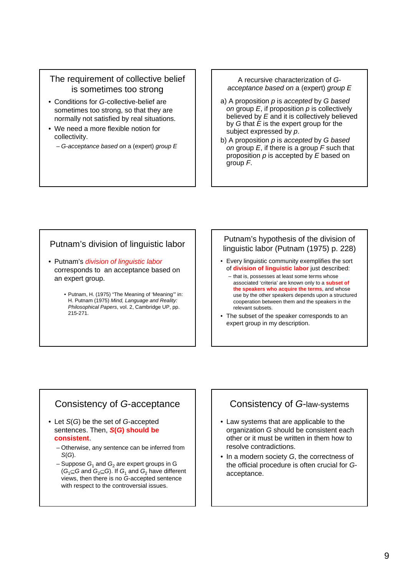### The requirement of collective belief is sometimes too strong

- Conditions for *G*-collective-belief are sometimes too strong, so that they are normally not satisfied by real situations.
- We need a more flexible notion for collectivity.
	- *G*-*acceptance based on* a (expert) *group E*

A recursive characterization of *Gacceptance based on* a (expert) *group E*

- a) A proposition *p* is *accepted* by *G based on* group *E*, if proposition *p* is collectively believed by *E* and it is collectively believed by *G* that *E* is the expert group for the subject expressed by *p*.
- b) A proposition *p* is *accepted* by *G based on* group *E*, if there is a group *F* such that proposition *p* is accepted by *E* based on group *F*.

#### Putnam's division of linguistic labor

- Putnam's *division of linguistic labor* corresponds to an acceptance based on an expert group.
	- Putnam, H. (1975) "The Meaning of 'Meaning'" in: H. Putnam (1975) *Mind, Language and Reality: Philosophical Papers*, vol. 2, Cambridge UP, pp. 215-271.

#### Putnam's hypothesis of the division of linguistic labor (Putnam (1975) p. 228)

- Every linguistic community exemplifies the sort of **division of linguistic labor** just described:
	- that is, possesses at least some terms whose associated 'criteria' are known only to a **subset of the speakers who acquire the terms**, and whose use by the other speakers depends upon a structured cooperation between them and the speakers in the relevant subsets.
- The subset of the speaker corresponds to an expert group in my description.

# Consistency of *G*-acceptance

- Let *S*(*G*) be the set of *G*-accepted sentences. Then, *S***(***G***) should be consistent**.
	- Otherwise, any sentence can be inferred from *S*(*G*).
	- $-$  Suppose  $G_1$  and  $G_2$  are expert groups in G  $(G_1 \subseteq G \text{ and } G_2 \subseteq G)$ . If  $G_1$  and  $G_2$  have different views, then there is no *G*-accepted sentence with respect to the controversial issues.

## Consistency of *G*-law-systems

- Law systems that are applicable to the organization *G* should be consistent each other or it must be written in them how to resolve contradictions.
- In a modern society *G*, the correctness of the official procedure is often crucial for *G*acceptance.